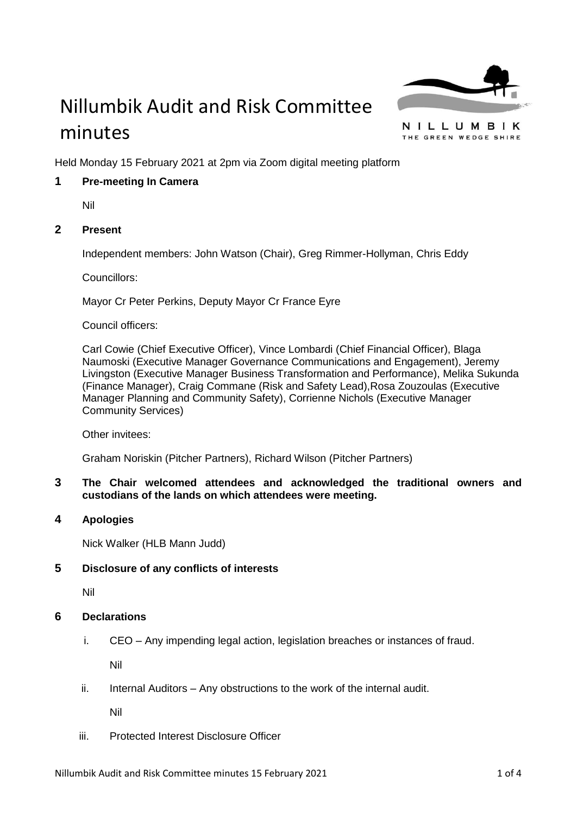

# Nillumbik Audit and Risk Committee minutes

NILLUMBIK THE GREEN WEDGE SHIRE

Held Monday 15 February 2021 at 2pm via Zoom digital meeting platform

# **1 Pre-meeting In Camera**

Nil

# **2 Present**

Independent members: John Watson (Chair), Greg Rimmer-Hollyman, Chris Eddy

Councillors:

Mayor Cr Peter Perkins, Deputy Mayor Cr France Eyre

Council officers:

Carl Cowie (Chief Executive Officer), Vince Lombardi (Chief Financial Officer), Blaga Naumoski (Executive Manager Governance Communications and Engagement), Jeremy Livingston (Executive Manager Business Transformation and Performance), Melika Sukunda (Finance Manager), Craig Commane (Risk and Safety Lead),Rosa Zouzoulas (Executive Manager Planning and Community Safety), Corrienne Nichols (Executive Manager Community Services)

Other invitees:

Graham Noriskin (Pitcher Partners), Richard Wilson (Pitcher Partners)

# **3 The Chair welcomed attendees and acknowledged the traditional owners and custodians of the lands on which attendees were meeting.**

**4 Apologies**

Nick Walker (HLB Mann Judd)

# **5 Disclosure of any conflicts of interests**

Nil

# **6 Declarations**

i. CEO – Any impending legal action, legislation breaches or instances of fraud.

Nil

ii. Internal Auditors – Any obstructions to the work of the internal audit.

Nil

iii. Protected Interest Disclosure Officer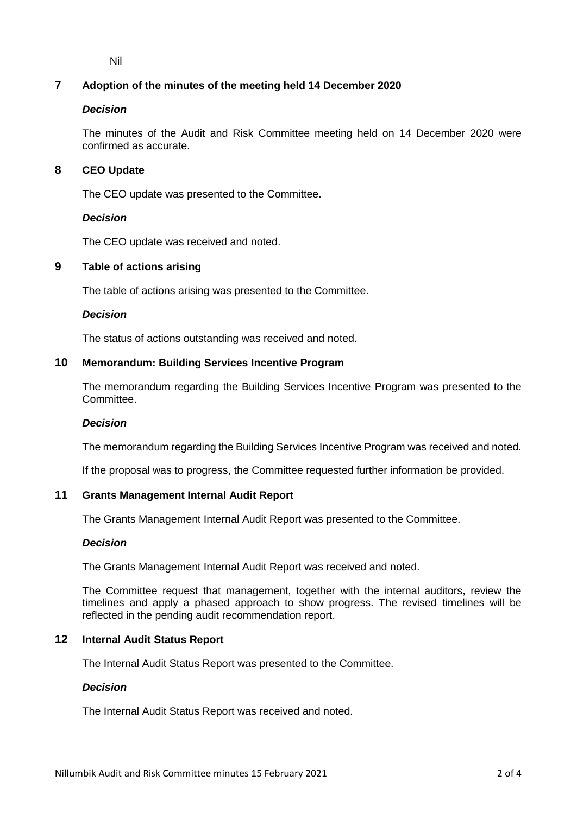Nil

# **7 Adoption of the minutes of the meeting held 14 December 2020**

# *Decision*

The minutes of the Audit and Risk Committee meeting held on 14 December 2020 were confirmed as accurate.

# **8 CEO Update**

The CEO update was presented to the Committee.

# *Decision*

The CEO update was received and noted.

# **9 Table of actions arising**

The table of actions arising was presented to the Committee.

#### *Decision*

The status of actions outstanding was received and noted.

## **10 Memorandum: Building Services Incentive Program**

The memorandum regarding the Building Services Incentive Program was presented to the Committee.

# *Decision*

The memorandum regarding the Building Services Incentive Program was received and noted.

If the proposal was to progress, the Committee requested further information be provided.

# **11 Grants Management Internal Audit Report**

The Grants Management Internal Audit Report was presented to the Committee.

#### *Decision*

The Grants Management Internal Audit Report was received and noted.

The Committee request that management, together with the internal auditors, review the timelines and apply a phased approach to show progress. The revised timelines will be reflected in the pending audit recommendation report.

# **12 Internal Audit Status Report**

The Internal Audit Status Report was presented to the Committee.

#### *Decision*

The Internal Audit Status Report was received and noted.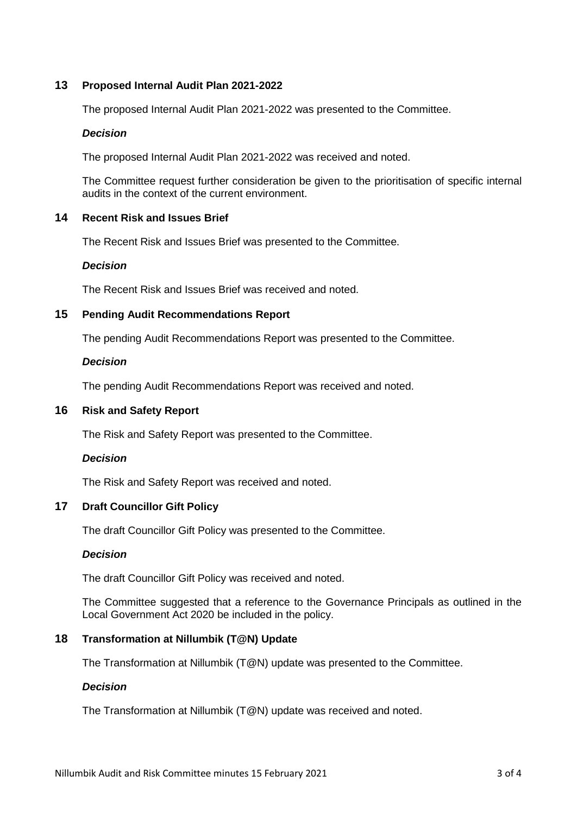# **13 Proposed Internal Audit Plan 2021-2022**

The proposed Internal Audit Plan 2021-2022 was presented to the Committee.

# *Decision*

The proposed Internal Audit Plan 2021-2022 was received and noted.

The Committee request further consideration be given to the prioritisation of specific internal audits in the context of the current environment.

# **14 Recent Risk and Issues Brief**

The Recent Risk and Issues Brief was presented to the Committee.

#### *Decision*

The Recent Risk and Issues Brief was received and noted.

## **15 Pending Audit Recommendations Report**

The pending Audit Recommendations Report was presented to the Committee.

#### *Decision*

The pending Audit Recommendations Report was received and noted.

## **16 Risk and Safety Report**

The Risk and Safety Report was presented to the Committee.

# *Decision*

The Risk and Safety Report was received and noted.

# **17 Draft Councillor Gift Policy**

The draft Councillor Gift Policy was presented to the Committee.

#### *Decision*

The draft Councillor Gift Policy was received and noted.

The Committee suggested that a reference to the Governance Principals as outlined in the Local Government Act 2020 be included in the policy.

#### **18 Transformation at Nillumbik (T@N) Update**

The Transformation at Nillumbik (T@N) update was presented to the Committee.

# *Decision*

The Transformation at Nillumbik (T@N) update was received and noted.